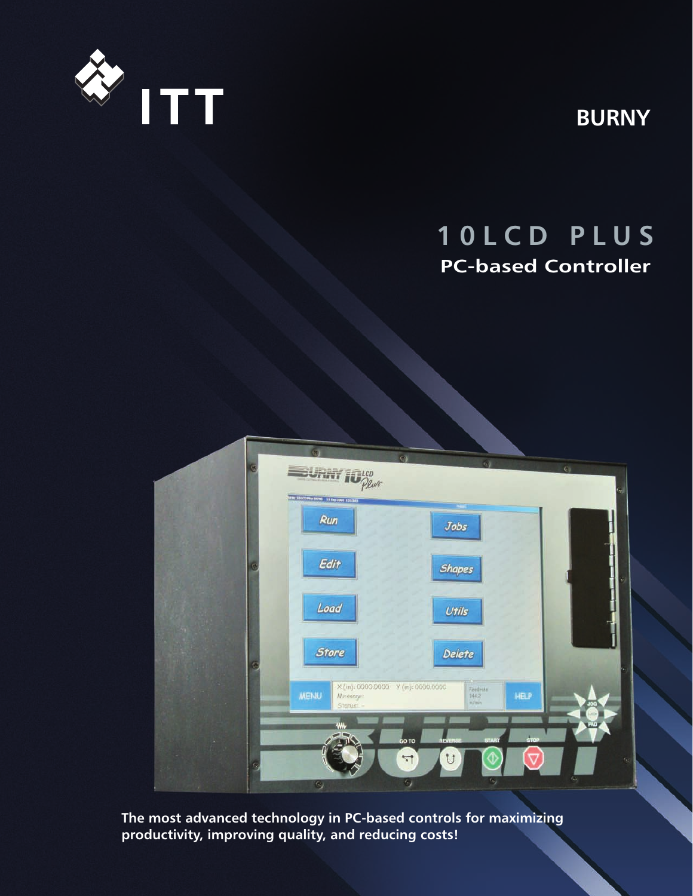

**BURNY**

# **1 0 L C D P L U S PC-based Controller**



**The most advanced technology in PC-based controls for maximizing productivity, improving quality, and reducing costs!**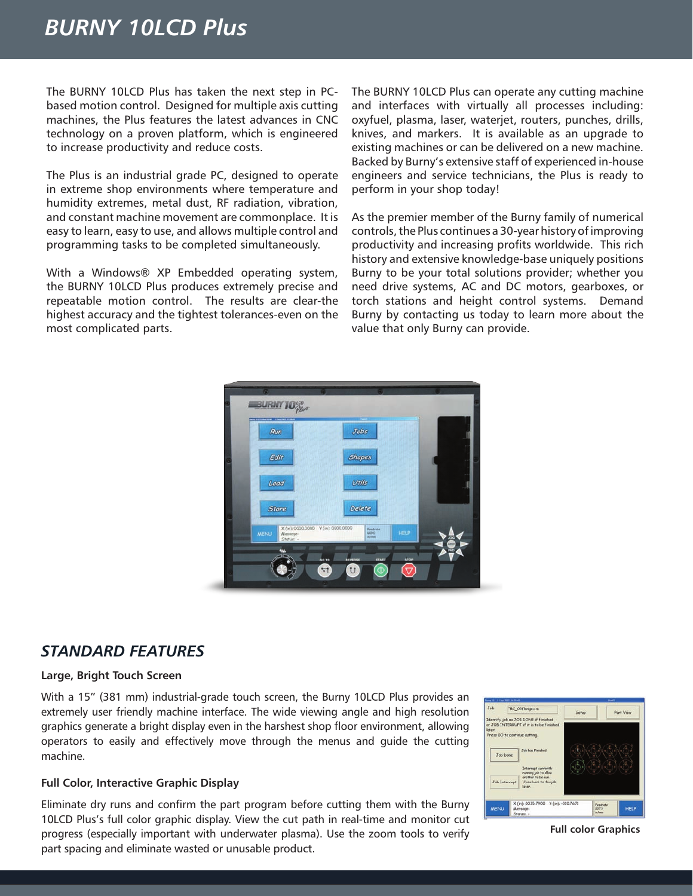## *BURNY 10LCD Plus*

The BURNY 10LCD Plus has taken the next step in PCbased motion control. Designed for multiple axis cutting machines, the Plus features the latest advances in CNC technology on a proven platform, which is engineered to increase productivity and reduce costs.

The Plus is an industrial grade PC, designed to operate in extreme shop environments where temperature and humidity extremes, metal dust, RF radiation, vibration, and constant machine movement are commonplace. It is easy to learn, easy to use, and allows multiple control and programming tasks to be completed simultaneously.

With a Windows® XP Embedded operating system, the BURNY 10LCD Plus produces extremely precise and repeatable motion control. The results are clear-the highest accuracy and the tightest tolerances-even on the most complicated parts.

The BURNY 10LCD Plus can operate any cutting machine and interfaces with virtually all processes including: oxyfuel, plasma, laser, waterjet, routers, punches, drills, knives, and markers. It is available as an upgrade to existing machines or can be delivered on a new machine. Backed by Burny's extensive staff of experienced in-house engineers and service technicians, the Plus is ready to perform in your shop today!

As the premier member of the Burny family of numerical controls, the Plus continues a 30-year history of improving productivity and increasing profits worldwide. This rich history and extensive knowledge-base uniquely positions Burny to be your total solutions provider; whether you need drive systems, AC and DC motors, gearboxes, or torch stations and height control systems. Demand Burny by contacting us today to learn more about the value that only Burny can provide.



## *STANDARD FEATURES*

#### **Large, Bright Touch Screen**

With a 15" (381 mm) industrial-grade touch screen, the Burny 10LCD Plus provides an extremely user friendly machine interface. The wide viewing angle and high resolution graphics generate a bright display even in the harshest shop floor environment, allowing operators to easily and effectively move through the menus and guide the cutting machine.

#### **Full Color, Interactive Graphic Display**

Eliminate dry runs and confirm the part program before cutting them with the Burny 10LCD Plus's full color graphic display. View the cut path in real-time and monitor cut progress (especially important with underwater plasma). Use the zoom tools to verify part spacing and eliminate wasted or unusable product.



**Full color Graphics**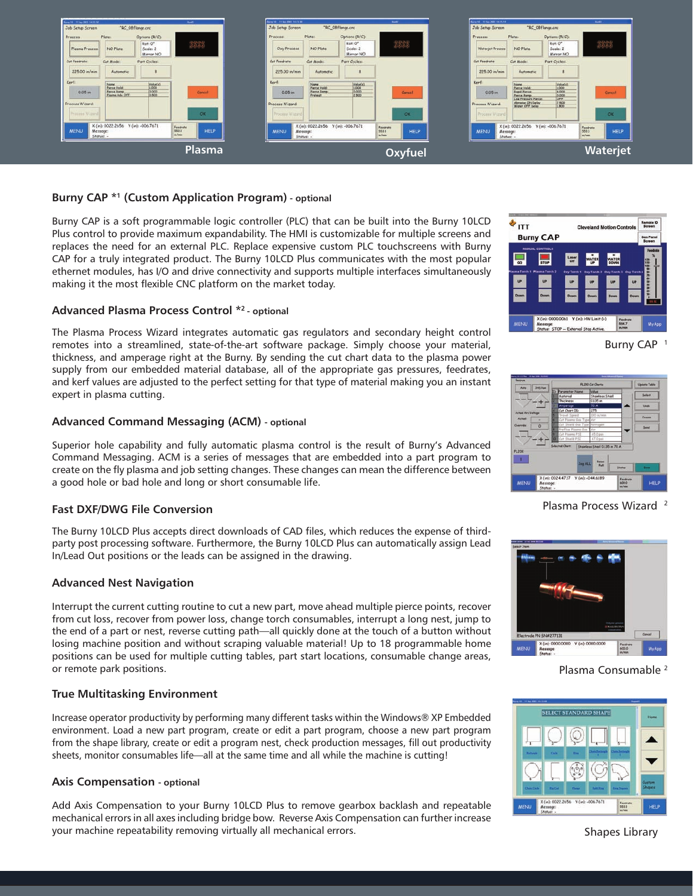

#### **Burny CAP \*1 (Custom Application Program) - optional**

Burny CAP is a soft programmable logic controller (PLC) that can be built into the Burny 10LCD Plus control to provide maximum expandability. The HMI is customizable for multiple screens and replaces the need for an external PLC. Replace expensive custom PLC touchscreens with Burny CAP for a truly integrated product. The Burny 10LCD Plus communicates with the most popular ethernet modules, has I/O and drive connectivity and supports multiple interfaces simultaneously making it the most flexible CNC platform on the market today.

#### **Advanced Plasma Process Control \*2 - optional**

The Plasma Process Wizard integrates automatic gas regulators and secondary height control remotes into a streamlined, state-of-the-art software package. Simply choose your material, thickness, and amperage right at the Burny. By sending the cut chart data to the plasma power supply from our embedded material database, all of the appropriate gas pressures, feedrates, and kerf values are adjusted to the perfect setting for that type of material making you an instant expert in plasma cutting.

#### **Advanced Command Messaging (ACM) - optional**

Superior hole capability and fully automatic plasma control is the result of Burny's Advanced Command Messaging. ACM is a series of messages that are embedded into a part program to create on the fly plasma and job setting changes. These changes can mean the difference between a good hole or bad hole and long or short consumable life.

#### **Fast DXF/DWG File Conversion**

The Burny 10LCD Plus accepts direct downloads of CAD files, which reduces the expense of thirdparty post processing software. Furthermore, the Burny 10LCD Plus can automatically assign Lead In/Lead Out positions or the leads can be assigned in the drawing.

#### **Advanced Nest Navigation**

Interrupt the current cutting routine to cut a new part, move ahead multiple pierce points, recover from cut loss, recover from power loss, change torch consumables, interrupt a long nest, jump to the end of a part or nest, reverse cutting path—all quickly done at the touch of a button without losing machine position and without scraping valuable material! Up to 18 programmable home positions can be used for multiple cutting tables, part start locations, consumable change areas, or remote park positions.

#### **True Multitasking Environment**

Increase operator productivity by performing many different tasks within the Windows® XP Embedded environment. Load a new part program, create or edit a part program, choose a new part program from the shape library, create or edit a program nest, check production messages, fill out productivity sheets, monitor consumables life—all at the same time and all while the machine is cutting!

#### **Axis Compensation - optional**

Add Axis Compensation to your Burny 10LCD Plus to remove gearbox backlash and repeatable mechanical errors in all axes including bridge bow. Reverse Axis Compensation can further increase your machine repeatability removing virtually all mechanical errors.







Plasma Process Wizard 2



Plasma Consumable 2



Shapes Library